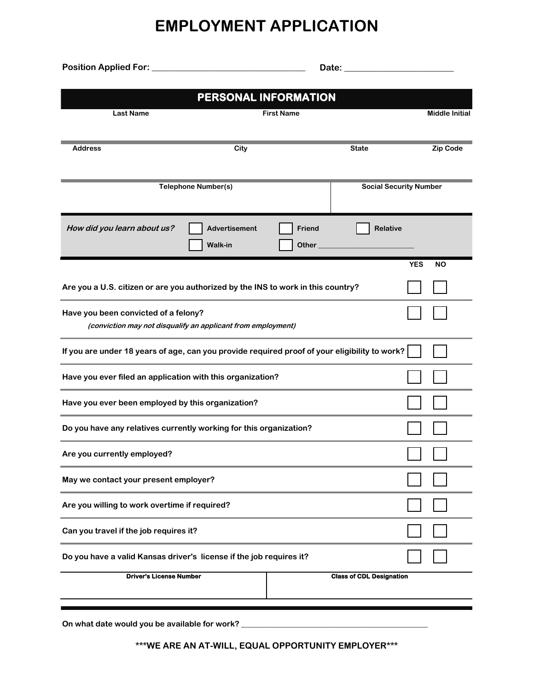## **EMPLOYMENT APPLICATION**

**Date: \_\_\_\_\_\_\_\_\_\_\_\_\_\_\_\_\_\_\_\_\_\_\_\_\_ Position Applied For: \_\_\_\_\_\_\_\_\_\_\_\_\_\_\_\_\_\_\_\_\_\_\_\_\_\_\_\_\_\_\_\_\_\_\_**

| <b>Last Name</b>                                                                              | PERSONAL INFORMATION                                         | <b>First Name</b> |                                 |                       |
|-----------------------------------------------------------------------------------------------|--------------------------------------------------------------|-------------------|---------------------------------|-----------------------|
|                                                                                               |                                                              |                   |                                 | <b>Middle Initial</b> |
| <b>Address</b>                                                                                | City                                                         |                   | <b>State</b>                    | <b>Zip Code</b>       |
|                                                                                               | <b>Telephone Number(s)</b>                                   |                   | <b>Social Security Number</b>   |                       |
| How did you learn about us?                                                                   | <b>Advertisement</b><br><b>Walk-in</b>                       | Friend<br>Other   | <b>Relative</b>                 |                       |
|                                                                                               |                                                              |                   | <b>YES</b>                      | <b>NO</b>             |
| Are you a U.S. citizen or are you authorized by the INS to work in this country?              |                                                              |                   |                                 |                       |
| Have you been convicted of a felony?                                                          | (conviction may not disqualify an applicant from employment) |                   |                                 |                       |
| If you are under 18 years of age, can you provide required proof of your eligibility to work? |                                                              |                   |                                 |                       |
| Have you ever filed an application with this organization?                                    |                                                              |                   |                                 |                       |
| Have you ever been employed by this organization?                                             |                                                              |                   |                                 |                       |
| Do you have any relatives currently working for this organization?                            |                                                              |                   |                                 |                       |
| Are you currently employed?                                                                   |                                                              |                   |                                 |                       |
| May we contact your present employer?                                                         |                                                              |                   |                                 |                       |
| Are you willing to work overtime if required?                                                 |                                                              |                   |                                 |                       |
| Can you travel if the job requires it?                                                        |                                                              |                   |                                 |                       |
| Do you have a valid Kansas driver's license if the job requires it?                           |                                                              |                   |                                 |                       |
| <b>Driver's License Number</b>                                                                |                                                              |                   | <b>Class of CDL Designation</b> |                       |
|                                                                                               |                                                              |                   |                                 |                       |

On what date would you be available for work? \_\_\_\_\_\_\_\_\_\_\_\_\_\_\_\_\_\_\_\_\_\_\_\_\_\_\_\_\_\_\_\_\_\_\_

**\*\*\*WE ARE AN AT-WILL, EQUAL OPPORTUNITY EMPLOYER\*\*\***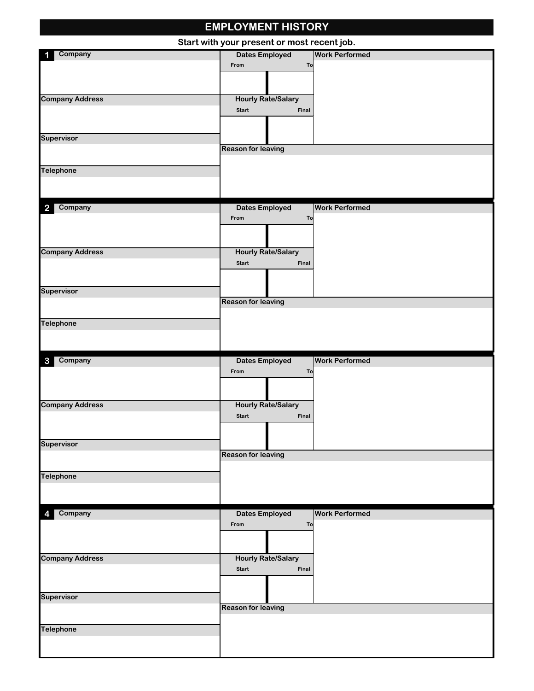|                           | <b>EMPLOYMENT HISTORY</b>                          |                       |
|---------------------------|----------------------------------------------------|-----------------------|
|                           | Start with your present or most recent job.        |                       |
| Company                   | <b>Dates Employed</b>                              | <b>Work Performed</b> |
|                           | From                                               | To                    |
|                           |                                                    |                       |
|                           |                                                    |                       |
| <b>Company Address</b>    | <b>Hourly Rate/Salary</b><br><b>Start</b><br>Final |                       |
|                           |                                                    |                       |
|                           |                                                    |                       |
| Supervisor                |                                                    |                       |
|                           | <b>Reason for leaving</b>                          |                       |
|                           |                                                    |                       |
| <b>Telephone</b>          |                                                    |                       |
|                           |                                                    |                       |
|                           |                                                    |                       |
| Company<br>$\overline{2}$ | <b>Dates Employed</b>                              | <b>Work Performed</b> |
|                           | From                                               | To                    |
|                           |                                                    |                       |
|                           |                                                    |                       |
| <b>Company Address</b>    | <b>Hourly Rate/Salary</b>                          |                       |
|                           | <b>Start</b><br>Final                              |                       |
|                           |                                                    |                       |
| <b>Supervisor</b>         |                                                    |                       |
|                           | <b>Reason for leaving</b>                          |                       |
|                           |                                                    |                       |
| <b>Telephone</b>          |                                                    |                       |
|                           |                                                    |                       |
|                           |                                                    |                       |
|                           |                                                    |                       |
| Company<br>$\mathbf{3}$   | <b>Dates Employed</b>                              | <b>Work Performed</b> |
|                           | From                                               | To                    |
|                           |                                                    |                       |
|                           |                                                    |                       |
|                           | <b>Hourly Rate/Salary</b>                          |                       |
| <b>Company Address</b>    | Start<br>Final                                     |                       |
|                           |                                                    |                       |
| <b>Supervisor</b>         |                                                    |                       |
|                           | <b>Reason for leaving</b>                          |                       |
|                           |                                                    |                       |
|                           |                                                    |                       |
|                           |                                                    |                       |
|                           |                                                    |                       |
| Company<br>4              | <b>Dates Employed</b>                              | <b>Work Performed</b> |
|                           | From                                               | To                    |
| <b>Telephone</b>          |                                                    |                       |
|                           |                                                    |                       |
|                           | <b>Hourly Rate/Salary</b>                          |                       |
| <b>Company Address</b>    | Final<br><b>Start</b>                              |                       |
|                           |                                                    |                       |
|                           |                                                    |                       |
| <b>Supervisor</b>         | <b>Reason for leaving</b>                          |                       |
|                           |                                                    |                       |
| <b>Telephone</b>          |                                                    |                       |
|                           |                                                    |                       |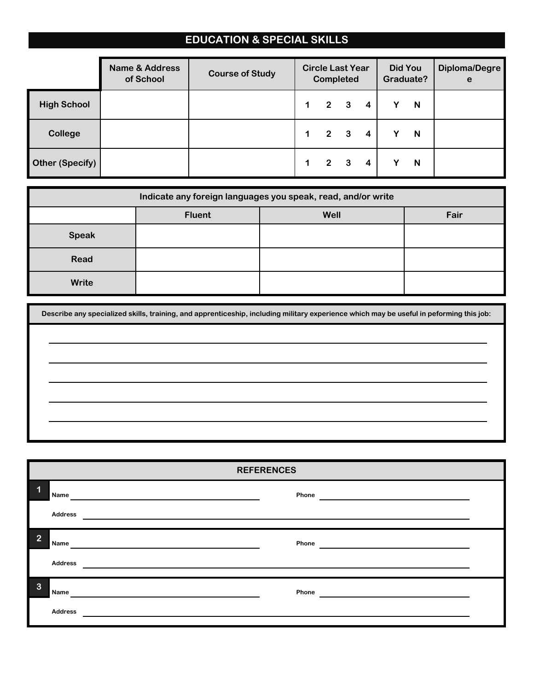## **EDUCATION & SPECIAL SKILLS**

|                        | <b>Name &amp; Address</b><br>of School | <b>Course of Study</b> | <b>Circle Last Year</b><br>Completed |                         |                         | Did You<br>Graduate? |   | <b>Diploma/Degre</b><br>e |
|------------------------|----------------------------------------|------------------------|--------------------------------------|-------------------------|-------------------------|----------------------|---|---------------------------|
| <b>High School</b>     |                                        |                        | $\overline{2}$                       | $\overline{\mathbf{3}}$ | 4                       |                      | N |                           |
| <b>College</b>         |                                        |                        | $2^{\circ}$                          | $\overline{\mathbf{3}}$ | $\overline{\mathbf{4}}$ |                      | N |                           |
| <b>Other (Specify)</b> |                                        |                        | $\overline{2}$                       | $\overline{\mathbf{3}}$ | 4                       |                      | N |                           |

|              |               | Indicate any foreign languages you speak, read, and/or write |      |
|--------------|---------------|--------------------------------------------------------------|------|
|              | <b>Fluent</b> | Well                                                         | Fair |
| <b>Speak</b> |               |                                                              |      |
| Read         |               |                                                              |      |
| Write        |               |                                                              |      |

**Describe any specialized skills, training, and apprenticeship, including military experience which may be useful in peforming this job:**

| <b>REFERENCES</b> |                |       |  |  |  |  |
|-------------------|----------------|-------|--|--|--|--|
| 1                 | Name           | Phone |  |  |  |  |
|                   | <b>Address</b> |       |  |  |  |  |
| 2                 | Name           | Phone |  |  |  |  |
|                   | <b>Address</b> |       |  |  |  |  |
| 3                 | <b>Name</b>    | Phone |  |  |  |  |
|                   | <b>Address</b> |       |  |  |  |  |